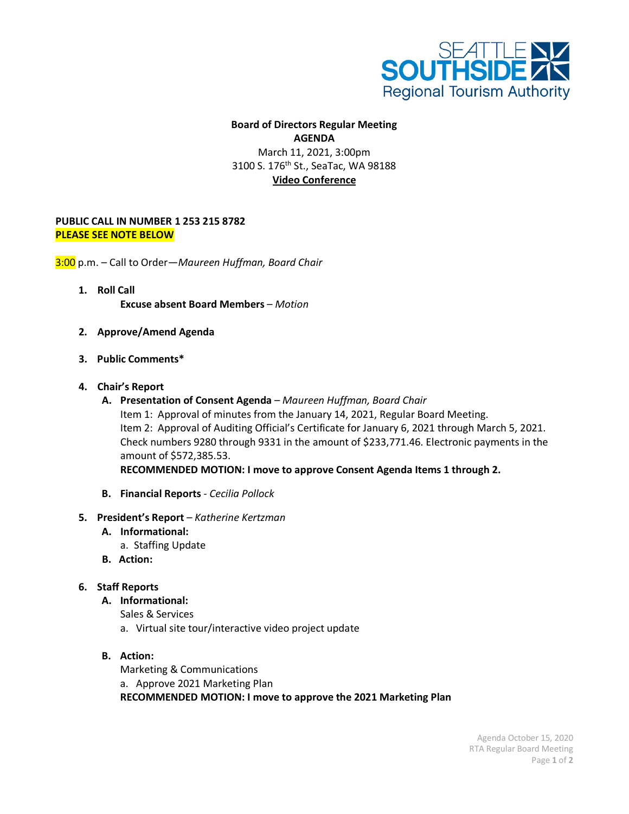

## **Board of Directors Regular Meeting AGENDA** March 11, 2021, 3:00pm 3100 S. 176<sup>th</sup> St., SeaTac, WA 98188 **Video Conference**

## **PUBLIC CALL IN NUMBER 1 253 215 8782 PLEASE SEE NOTE BELOW**

3:00 p.m. – Call to Order—*Maureen Huffman, Board Chair*

- **1. Roll Call Excuse absent Board Members** *– Motion*
- **2. Approve/Amend Agenda**
- **3. Public Comments\***
- **4. Chair's Report**
	- **A. Presentation of Consent Agenda**  *Maureen Huffman, Board Chair* Item 1: Approval of minutes from the January 14, 2021, Regular Board Meeting. Item 2: Approval of Auditing Official's Certificate for January 6, 2021 through March 5, 2021. Check numbers 9280 through 9331 in the amount of \$233,771.46. Electronic payments in the amount of \$572,385.53. **RECOMMENDED MOTION: I move to approve Consent Agenda Items 1 through 2.**
	-
	- **B. Financial Reports**  *Cecilia Pollock*
- **5. President's Report**  *Katherine Kertzman*
	- **A. Informational:**
		- a. Staffing Update
	- **B. Action:**

## **6. Staff Reports**

## **A. Informational:**

Sales & Services

- a. Virtual site tour/interactive video project update
- **B. Action:**

Marketing & Communications a. Approve 2021 Marketing Plan **RECOMMENDED MOTION: I move to approve the 2021 Marketing Plan**